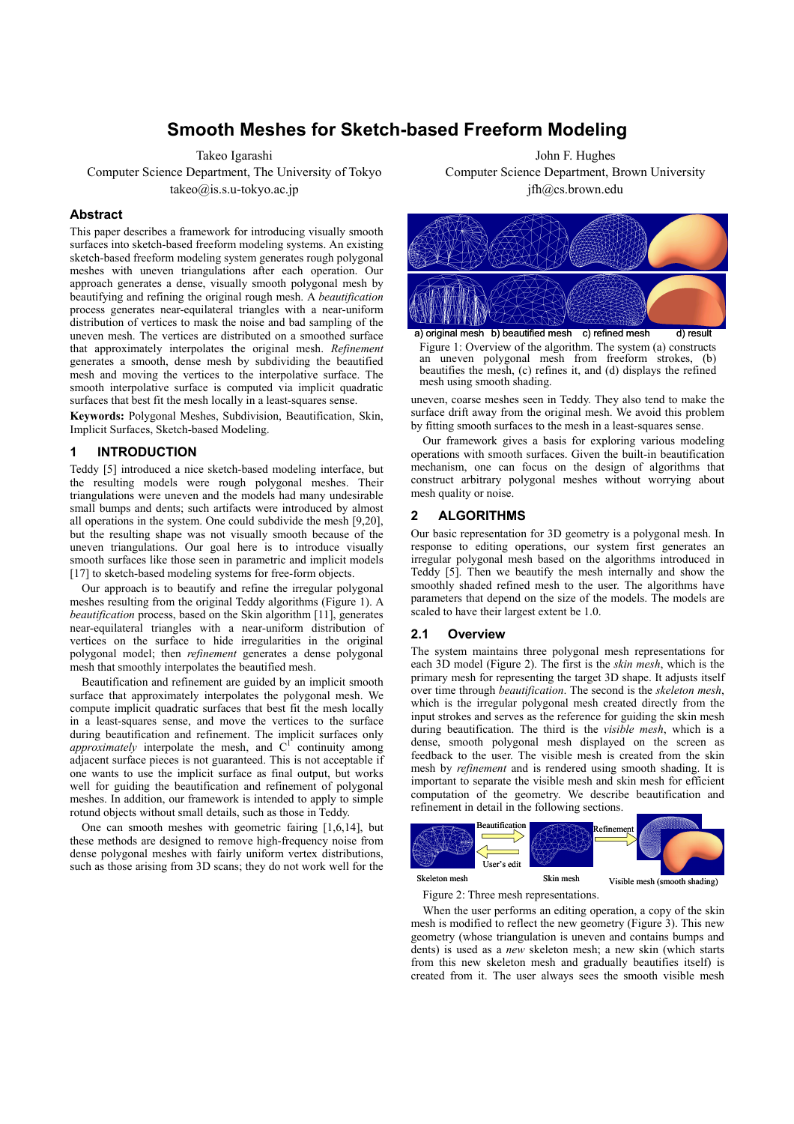# **Smooth Meshes for Sketch-based Freeform Modeling**

Takeo Igarashi Computer Science Department, The University of Tokyo

takeo@is.s.u-tokyo.ac.jp

# **Abstract**

This paper describes a framework for introducing visually smooth surfaces into sketch-based freeform modeling systems. An existing sketch-based freeform modeling system generates rough polygonal meshes with uneven triangulations after each operation. Our approach generates a dense, visually smooth polygonal mesh by beautifying and refining the original rough mesh. A *beautification* process generates near-equilateral triangles with a near-uniform distribution of vertices to mask the noise and bad sampling of the uneven mesh. The vertices are distributed on a smoothed surface that approximately interpolates the original mesh. *Refinement* generates a smooth, dense mesh by subdividing the beautified mesh and moving the vertices to the interpolative surface. The smooth interpolative surface is computed via implicit quadratic surfaces that best fit the mesh locally in a least-squares sense.

**Keywords:** Polygonal Meshes, Subdivision, Beautification, Skin, Implicit Surfaces, Sketch-based Modeling.

## **1 INTRODUCTION**

Teddy [5] introduced a nice sketch-based modeling interface, but the resulting models were rough polygonal meshes. Their triangulations were uneven and the models had many undesirable small bumps and dents; such artifacts were introduced by almost all operations in the system. One could subdivide the mesh [9,20], but the resulting shape was not visually smooth because of the uneven triangulations. Our goal here is to introduce visually smooth surfaces like those seen in parametric and implicit models [17] to sketch-based modeling systems for free-form objects.

Our approach is to beautify and refine the irregular polygonal meshes resulting from the original Teddy algorithms (Figure 1). A *beautification* process, based on the Skin algorithm [11], generates near-equilateral triangles with a near-uniform distribution of vertices on the surface to hide irregularities in the original polygonal model; then *refinement* generates a dense polygonal mesh that smoothly interpolates the beautified mesh.

Beautification and refinement are guided by an implicit smooth surface that approximately interpolates the polygonal mesh. We compute implicit quadratic surfaces that best fit the mesh locally in a least-squares sense, and move the vertices to the surface during beautification and refinement. The implicit surfaces only *approximately* interpolate the mesh, and  $C^1$  continuity among adjacent surface pieces is not guaranteed. This is not acceptable if one wants to use the implicit surface as final output, but works well for guiding the beautification and refinement of polygonal meshes. In addition, our framework is intended to apply to simple rotund objects without small details, such as those in Teddy.

One can smooth meshes with geometric fairing [1,6,14], but these methods are designed to remove high-frequency noise from dense polygonal meshes with fairly uniform vertex distributions, such as those arising from 3D scans; they do not work well for the

John F. Hughes Computer Science Department, Brown University jfh@cs.brown.edu



an uneven polygonal mesh from freeform strokes, (b) beautifies the mesh, (c) refines it, and (d) displays the refined mesh using smooth shading.

uneven, coarse meshes seen in Teddy. They also tend to make the surface drift away from the original mesh. We avoid this problem by fitting smooth surfaces to the mesh in a least-squares sense.

Our framework gives a basis for exploring various modeling operations with smooth surfaces. Given the built-in beautification mechanism, one can focus on the design of algorithms that construct arbitrary polygonal meshes without worrying about mesh quality or noise.

# **2 ALGORITHMS**

Our basic representation for 3D geometry is a polygonal mesh. In response to editing operations, our system first generates an irregular polygonal mesh based on the algorithms introduced in Teddy [5]. Then we beautify the mesh internally and show the smoothly shaded refined mesh to the user. The algorithms have parameters that depend on the size of the models. The models are scaled to have their largest extent be 1.0.

### **2.1 Overview**

The system maintains three polygonal mesh representations for each 3D model (Figure 2). The first is the *skin mesh*, which is the primary mesh for representing the target 3D shape. It adjusts itself over time through *beautification*. The second is the *skeleton mesh*, which is the irregular polygonal mesh created directly from the input strokes and serves as the reference for guiding the skin mesh during beautification. The third is the *visible mesh*, which is a dense, smooth polygonal mesh displayed on the screen as feedback to the user. The visible mesh is created from the skin mesh by *refinement* and is rendered using smooth shading. It is important to separate the visible mesh and skin mesh for efficient computation of the geometry. We describe beautification and refinement in detail in the following sections.



Figure 2: Three mesh representations.

When the user performs an editing operation, a copy of the skin mesh is modified to reflect the new geometry (Figure 3). This new geometry (whose triangulation is uneven and contains bumps and dents) is used as a *new* skeleton mesh; a new skin (which starts from this new skeleton mesh and gradually beautifies itself) is created from it. The user always sees the smooth visible mesh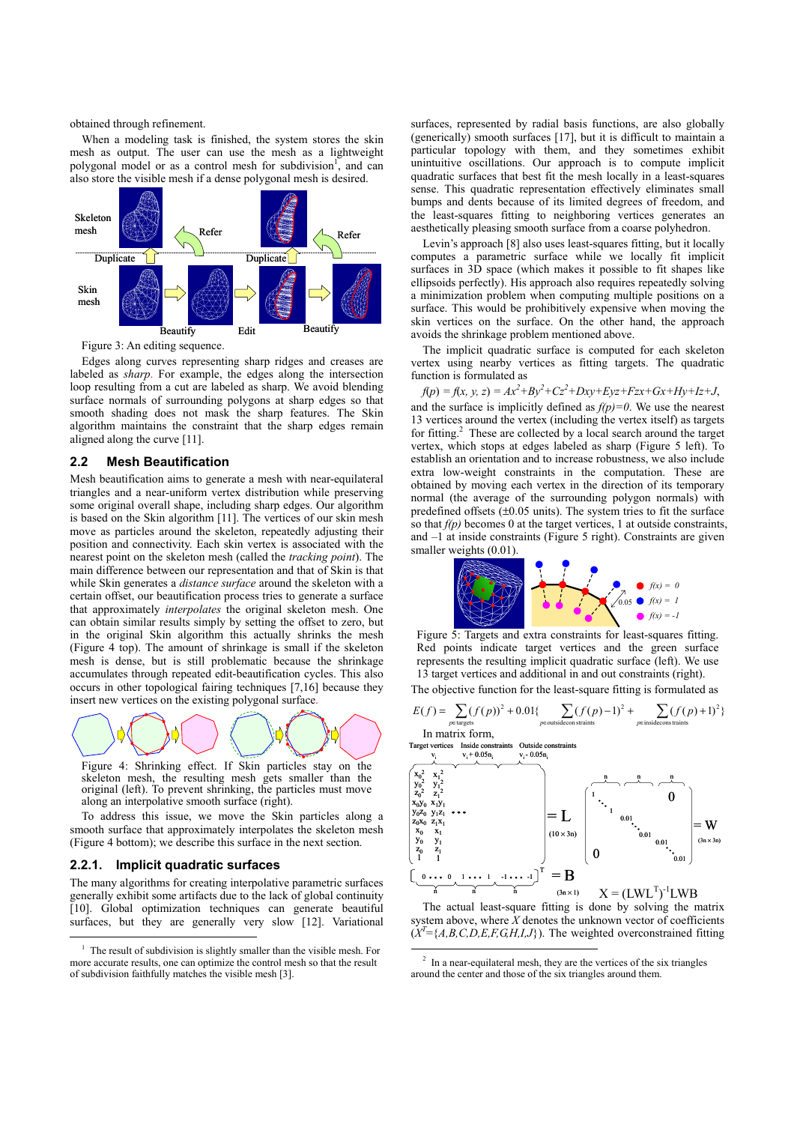obtained through refinement.

When a modeling task is finished, the system stores the skin mesh as output. The user can use the mesh as a lightweight polygonal model or as a control mesh for subdivision<sup>1</sup>, and can also store the visible mesh if a dense polygonal mesh is desired.



Figure 3: An editing sequence.

Edges along curves representing sharp ridges and creases are labeled as *sharp*. For example, the edges along the intersection loop resulting from a cut are labeled as sharp. We avoid blending surface normals of surrounding polygons at sharp edges so that smooth shading does not mask the sharp features. The Skin algorithm maintains the constraint that the sharp edges remain aligned along the curve [11].

# **2.2 Mesh Beautification**

Mesh beautification aims to generate a mesh with near-equilateral triangles and a near-uniform vertex distribution while preserving some original overall shape, including sharp edges. Our algorithm is based on the Skin algorithm [11]. The vertices of our skin mesh move as particles around the skeleton, repeatedly adjusting their position and connectivity. Each skin vertex is associated with the nearest point on the skeleton mesh (called the *tracking point*). The main difference between our representation and that of Skin is that while Skin generates a *distance surface* around the skeleton with a certain offset, our beautification process tries to generate a surface that approximately *interpolates* the original skeleton mesh. One can obtain similar results simply by setting the offset to zero, but in the original Skin algorithm this actually shrinks the mesh (Figure 4 top). The amount of shrinkage is small if the skeleton mesh is dense, but is still problematic because the shrinkage accumulates through repeated edit-beautification cycles. This also occurs in other topological fairing techniques [7,16] because they insert new vertices on the existing polygonal surface.



Figure 4: Shrinking effect. If Skin particles stay on the skeleton mesh, the resulting mesh gets smaller than the original (left). To prevent shrinking, the particles must move along an interpolative smooth surface (right).

To address this issue, we move the Skin particles along a smooth surface that approximately interpolates the skeleton mesh (Figure 4 bottom); we describe this surface in the next section.

#### **2.2.1. Implicit quadratic surfaces**

The many algorithms for creating interpolative parametric surfaces generally exhibit some artifacts due to the lack of global continuity [10]. Global optimization techniques can generate beautiful surfaces, but they are generally very slow [12]. Variational surfaces, represented by radial basis functions, are also globally (generically) smooth surfaces [17], but it is difficult to maintain a particular topology with them, and they sometimes exhibit unintuitive oscillations. Our approach is to compute implicit quadratic surfaces that best fit the mesh locally in a least-squares sense. This quadratic representation effectively eliminates small bumps and dents because of its limited degrees of freedom, and the least-squares fitting to neighboring vertices generates an aesthetically pleasing smooth surface from a coarse polyhedron.

Levin's approach [8] also uses least-squares fitting, but it locally computes a parametric surface while we locally fit implicit surfaces in 3D space (which makes it possible to fit shapes like ellipsoids perfectly). His approach also requires repeatedly solving a minimization problem when computing multiple positions on a surface. This would be prohibitively expensive when moving the skin vertices on the surface. On the other hand, the approach avoids the shrinkage problem mentioned above.

The implicit quadratic surface is computed for each skeleton vertex using nearby vertices as fitting targets. The quadratic function is formulated as

$$
f(p) = f(x, y, z) = Ax^2 + By^2 + Cz^2 + Dxy + Eyz + Fzx + Gx + Hy + Iz + J,
$$

and the surface is implicitly defined as  $f(p)=0$ . We use the nearest 13 vertices around the vertex (including the vertex itself) as targets for fitting.<sup>2</sup> These are collected by a local search around the target vertex, which stops at edges labeled as sharp (Figure 5 left). To establish an orientation and to increase robustness, we also include extra low-weight constraints in the computation. These are obtained by moving each vertex in the direction of its temporary normal (the average of the surrounding polygon normals) with predefined offsets  $(\pm 0.05 \text{ units})$ . The system tries to fit the surface so that  $f(p)$  becomes 0 at the target vertices, 1 at outside constraints, and –1 at inside constraints (Figure 5 right). Constraints are given smaller weights (0.01).



Figure 5: Targets and extra constraints for least-squares fitting. Red points indicate target vertices and the green surface represents the resulting implicit quadratic surface (left). We use 13 target vertices and additional in and out constraints (right).

The objective function for the least-square fitting is formulated as





<sup>&</sup>lt;sup>2</sup> In a near-equilateral mesh, they are the vertices of the six triangles around the center and those of the six triangles around them.

<sup>&</sup>lt;sup>1</sup> The result of subdivision is slightly smaller than the visible mesh. For more accurate results, one can optimize the control mesh so that the result of subdivision faithfully matches the visible mesh [3].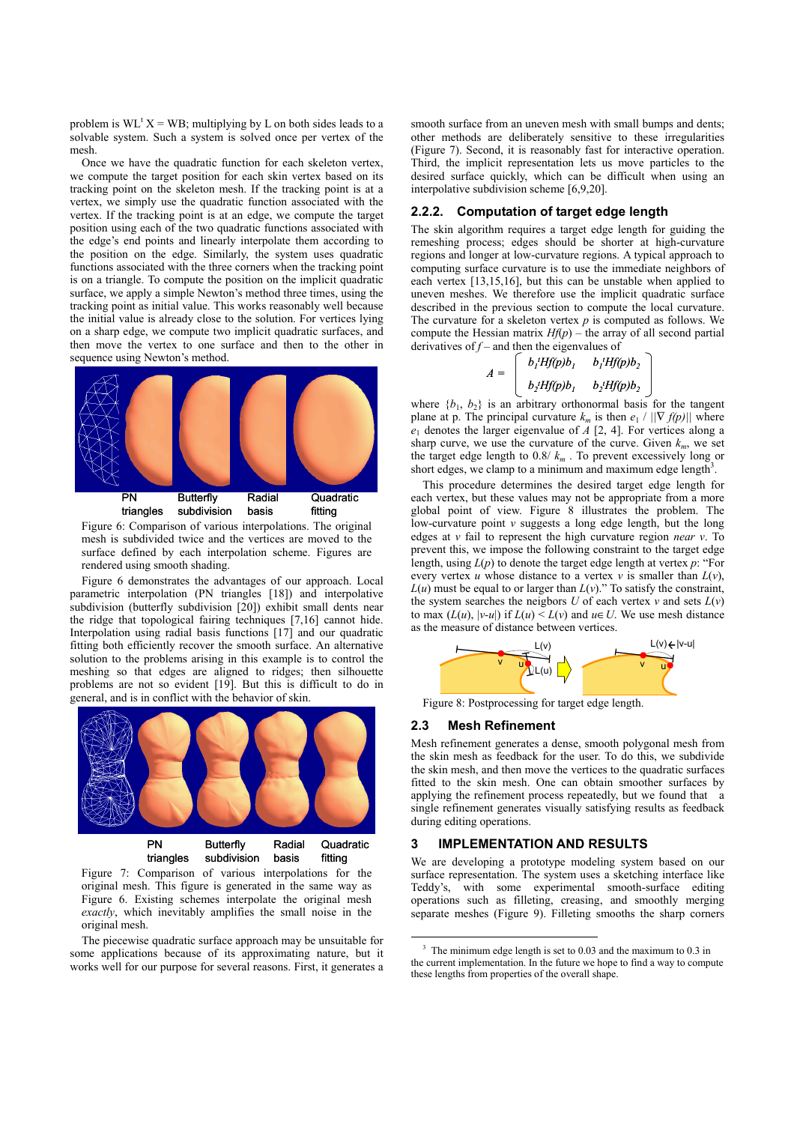problem is  $WL^{t} X = WB$ ; multiplying by L on both sides leads to a solvable system. Such a system is solved once per vertex of the mesh.

Once we have the quadratic function for each skeleton vertex, we compute the target position for each skin vertex based on its tracking point on the skeleton mesh. If the tracking point is at a vertex, we simply use the quadratic function associated with the vertex. If the tracking point is at an edge, we compute the target position using each of the two quadratic functions associated with the edge's end points and linearly interpolate them according to the position on the edge. Similarly, the system uses quadratic functions associated with the three corners when the tracking point is on a triangle. To compute the position on the implicit quadratic surface, we apply a simple Newton's method three times, using the tracking point as initial value. This works reasonably well because the initial value is already close to the solution. For vertices lying on a sharp edge, we compute two implicit quadratic surfaces, and then move the vertex to one surface and then to the other in sequence using Newton's method.



Figure 6: Comparison of various interpolations. The original mesh is subdivided twice and the vertices are moved to the surface defined by each interpolation scheme. Figures are rendered using smooth shading.

Figure 6 demonstrates the advantages of our approach. Local parametric interpolation (PN triangles [18]) and interpolative subdivision (butterfly subdivision [20]) exhibit small dents near the ridge that topological fairing techniques [7,16] cannot hide. Interpolation using radial basis functions [17] and our quadratic fitting both efficiently recover the smooth surface. An alternative solution to the problems arising in this example is to control the meshing so that edges are aligned to ridges; then silhouette problems are not so evident [19]. But this is difficult to do in general, and is in conflict with the behavior of skin.



triangles subdivision basis fitting

Figure 7: Comparison of various interpolations for the original mesh. This figure is generated in the same way as Figure 6. Existing schemes interpolate the original mesh *exactly*, which inevitably amplifies the small noise in the original mesh.

The piecewise quadratic surface approach may be unsuitable for some applications because of its approximating nature, but it works well for our purpose for several reasons. First, it generates a smooth surface from an uneven mesh with small bumps and dents; other methods are deliberately sensitive to these irregularities (Figure 7). Second, it is reasonably fast for interactive operation. Third, the implicit representation lets us move particles to the desired surface quickly, which can be difficult when using an interpolative subdivision scheme [6,9,20].

# **2.2.2. Computation of target edge length**

The skin algorithm requires a target edge length for guiding the remeshing process; edges should be shorter at high-curvature regions and longer at low-curvature regions. A typical approach to computing surface curvature is to use the immediate neighbors of each vertex [13,15,16], but this can be unstable when applied to uneven meshes. We therefore use the implicit quadratic surface described in the previous section to compute the local curvature. The curvature for a skeleton vertex *p* is computed as follows. We compute the Hessian matrix  $Hf(p)$  – the array of all second partial derivatives of  $f$  – and then the eigenvalues of

$$
A = \begin{bmatrix} b_i' H f(p) b_i & b_i' H f(p) b_2 \\ b_2' H f(p) b_1 & b_2' H f(p) b_2 \end{bmatrix}
$$

where  ${b_1, b_2}$  is an arbitrary orthonormal basis for the tangent plane at p. The principal curvature  $k_m$  is then  $e_1 / ||\nabla f(p)||$  where *e*1 denotes the larger eigenvalue of *A* [2, 4]. For vertices along a sharp curve, we use the curvature of the curve. Given  $k_m$ , we set the target edge length to  $0.8/ k_m$ . To prevent excessively long or short edges, we clamp to a minimum and maximum edge length $3$ .

This procedure determines the desired target edge length for each vertex, but these values may not be appropriate from a more global point of view. Figure 8 illustrates the problem. The low-curvature point *v* suggests a long edge length, but the long edges at *v* fail to represent the high curvature region *near v*. To prevent this, we impose the following constraint to the target edge length, using *L*(*p*) to denote the target edge length at vertex *p*: "For every vertex *u* whose distance to a vertex *v* is smaller than  $L(v)$ ,  $L(u)$  must be equal to or larger than  $L(v)$ ." To satisfy the constraint, the system searches the neigbors *U* of each vertex *v* and sets  $L(v)$ to max  $(L(u), |v-u|)$  if  $L(u) \le L(v)$  and  $u \in U$ . We use mesh distance as the measure of distance between vertices.



Figure 8: Postprocessing for target edge length.

## **2.3 Mesh Refinement**

Mesh refinement generates a dense, smooth polygonal mesh from the skin mesh as feedback for the user. To do this, we subdivide the skin mesh, and then move the vertices to the quadratic surfaces fitted to the skin mesh. One can obtain smoother surfaces by applying the refinement process repeatedly, but we found that a single refinement generates visually satisfying results as feedback during editing operations.

# **3 IMPLEMENTATION AND RESULTS**

We are developing a prototype modeling system based on our surface representation. The system uses a sketching interface like Teddy's, with some experimental smooth-surface editing operations such as filleting, creasing, and smoothly merging separate meshes (Figure 9). Filleting smooths the sharp corners

<sup>&</sup>lt;sup>3</sup> The minimum edge length is set to 0.03 and the maximum to 0.3 in the current implementation. In the future we hope to find a way to compute these lengths from properties of the overall shape.